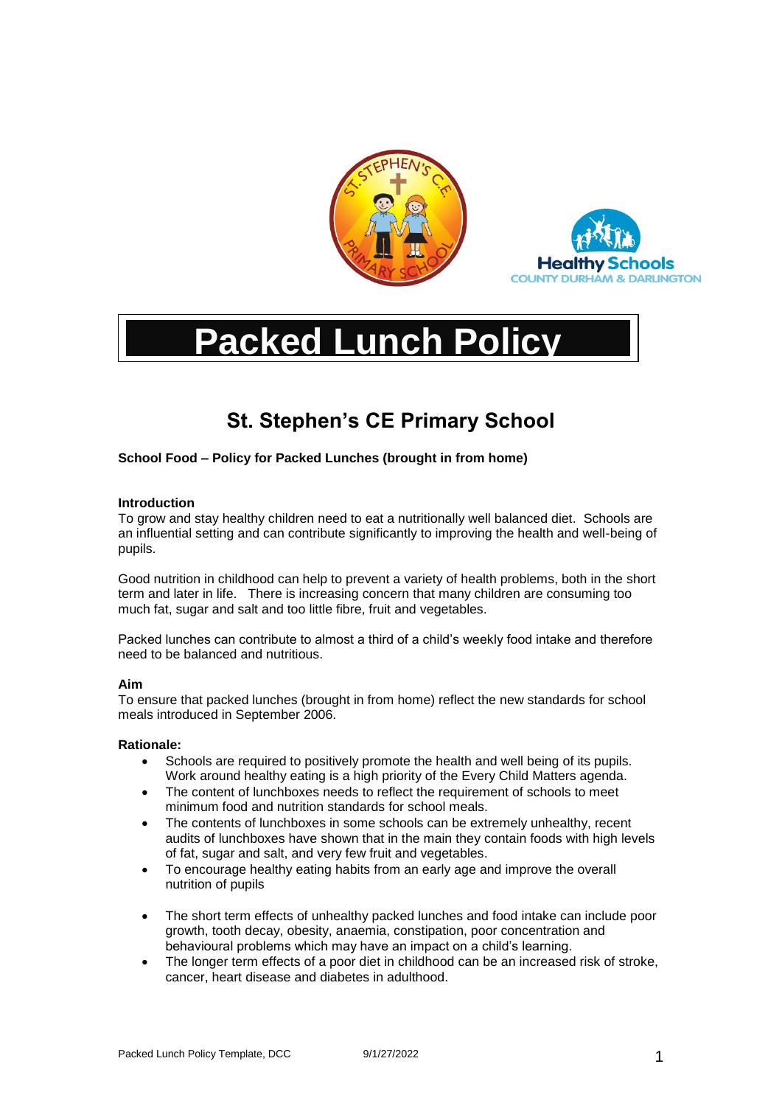



# **Packed Lunch Policy**

# **St. Stephen's CE Primary School**

# **School Food – Policy for Packed Lunches (brought in from home)**

# **Introduction**

To grow and stay healthy children need to eat a nutritionally well balanced diet. Schools are an influential setting and can contribute significantly to improving the health and well-being of pupils.

Good nutrition in childhood can help to prevent a variety of health problems, both in the short term and later in life. There is increasing concern that many children are consuming too much fat, sugar and salt and too little fibre, fruit and vegetables.

Packed lunches can contribute to almost a third of a child's weekly food intake and therefore need to be balanced and nutritious.

# **Aim**

To ensure that packed lunches (brought in from home) reflect the new standards for school meals introduced in September 2006.

# **Rationale:**

- Schools are required to positively promote the health and well being of its pupils. Work around healthy eating is a high priority of the Every Child Matters agenda.
- The content of lunchboxes needs to reflect the requirement of schools to meet minimum food and nutrition standards for school meals.
- The contents of lunchboxes in some schools can be extremely unhealthy, recent audits of lunchboxes have shown that in the main they contain foods with high levels of fat, sugar and salt, and very few fruit and vegetables.
- To encourage healthy eating habits from an early age and improve the overall nutrition of pupils
- The short term effects of unhealthy packed lunches and food intake can include poor growth, tooth decay, obesity, anaemia, constipation, poor concentration and behavioural problems which may have an impact on a child's learning.
- The longer term effects of a poor diet in childhood can be an increased risk of stroke, cancer, heart disease and diabetes in adulthood.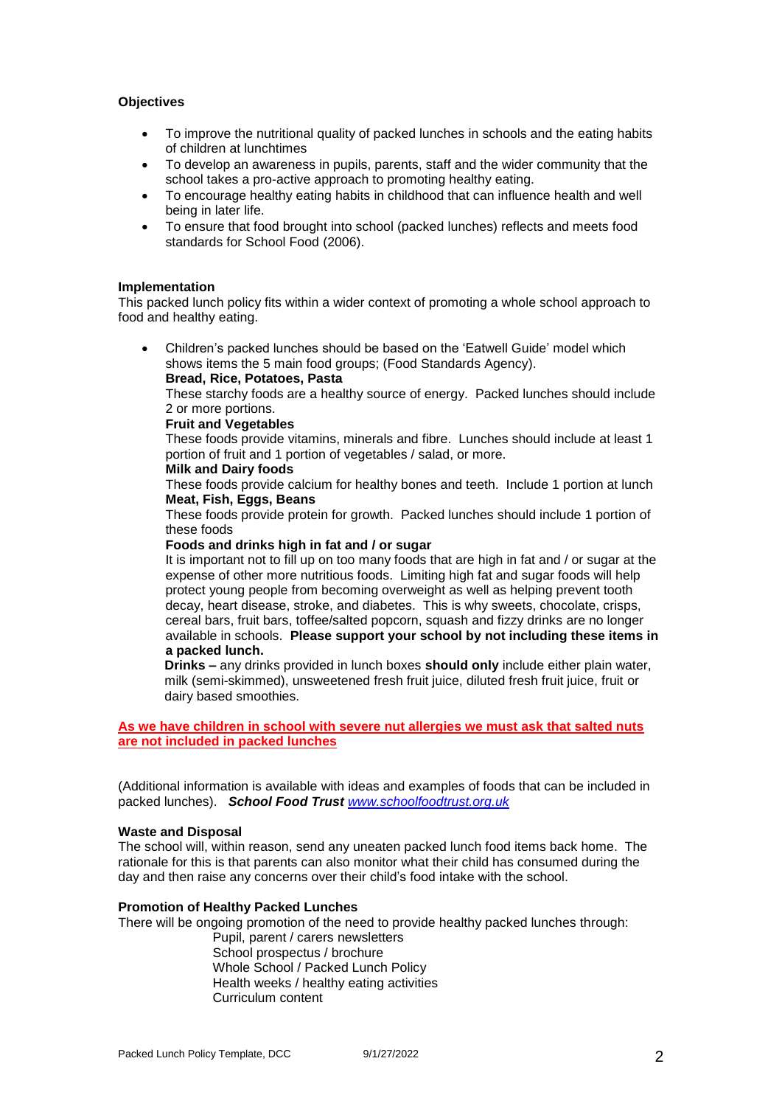# **Objectives**

- To improve the nutritional quality of packed lunches in schools and the eating habits of children at lunchtimes
- To develop an awareness in pupils, parents, staff and the wider community that the school takes a pro-active approach to promoting healthy eating.
- To encourage healthy eating habits in childhood that can influence health and well being in later life.
- To ensure that food brought into school (packed lunches) reflects and meets food standards for School Food (2006).

# **Implementation**

This packed lunch policy fits within a wider context of promoting a whole school approach to food and healthy eating.

• Children's packed lunches should be based on the 'Eatwell Guide' model which shows items the 5 main food groups; (Food Standards Agency). **Bread, Rice, Potatoes, Pasta**

These starchy foods are a healthy source of energy. Packed lunches should include 2 or more portions.

#### **Fruit and Vegetables**

These foods provide vitamins, minerals and fibre. Lunches should include at least 1 portion of fruit and 1 portion of vegetables / salad, or more.

# **Milk and Dairy foods**

These foods provide calcium for healthy bones and teeth. Include 1 portion at lunch **Meat, Fish, Eggs, Beans**

These foods provide protein for growth. Packed lunches should include 1 portion of these foods

# **Foods and drinks high in fat and / or sugar**

It is important not to fill up on too many foods that are high in fat and / or sugar at the expense of other more nutritious foods. Limiting high fat and sugar foods will help protect young people from becoming overweight as well as helping prevent tooth decay, heart disease, stroke, and diabetes. This is why sweets, chocolate, crisps, cereal bars, fruit bars, toffee/salted popcorn, squash and fizzy drinks are no longer available in schools. **Please support your school by not including these items in a packed lunch.**

**Drinks –** any drinks provided in lunch boxes **should only** include either plain water, milk (semi-skimmed), unsweetened fresh fruit juice, diluted fresh fruit juice, fruit or dairy based smoothies.

**As we have children in school with severe nut allergies we must ask that salted nuts are not included in packed lunches** 

(Additional information is available with ideas and examples of foods that can be included in packed lunches).*School Food Trust [www.schoolfoodtrust.org.uk](http://www.schoolfoodtrust.org.uk/)*

# **Waste and Disposal**

The school will, within reason, send any uneaten packed lunch food items back home. The rationale for this is that parents can also monitor what their child has consumed during the day and then raise any concerns over their child's food intake with the school.

# **Promotion of Healthy Packed Lunches**

There will be ongoing promotion of the need to provide healthy packed lunches through:

Pupil, parent / carers newsletters School prospectus / brochure Whole School / Packed Lunch Policy Health weeks / healthy eating activities Curriculum content